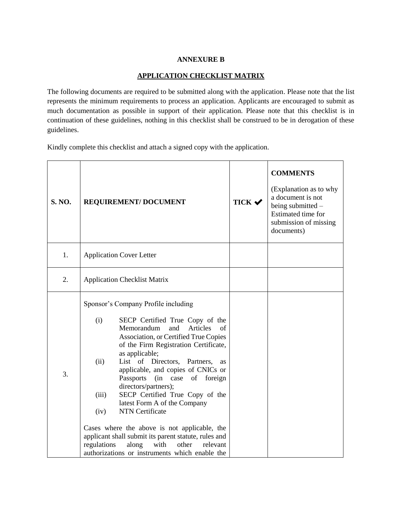## **ANNEXURE B**

## **APPLICATION CHECKLIST MATRIX**

The following documents are required to be submitted along with the application. Please note that the list represents the minimum requirements to process an application. Applicants are encouraged to submit as much documentation as possible in support of their application. Please note that this checklist is in continuation of these guidelines, nothing in this checklist shall be construed to be in derogation of these guidelines.

Kindly complete this checklist and attach a signed copy with the application.

| S. NO. | <b>REQUIREMENT/DOCUMENT</b>                                                                                                                                                                                                                                                                                                                                                                                                                                                                                                                                                                                                                                                                                   | TICK ↓ | <b>COMMENTS</b><br>(Explanation as to why<br>a document is not<br>being submitted $-$<br>Estimated time for<br>submission of missing<br>documents) |
|--------|---------------------------------------------------------------------------------------------------------------------------------------------------------------------------------------------------------------------------------------------------------------------------------------------------------------------------------------------------------------------------------------------------------------------------------------------------------------------------------------------------------------------------------------------------------------------------------------------------------------------------------------------------------------------------------------------------------------|--------|----------------------------------------------------------------------------------------------------------------------------------------------------|
| 1.     | <b>Application Cover Letter</b>                                                                                                                                                                                                                                                                                                                                                                                                                                                                                                                                                                                                                                                                               |        |                                                                                                                                                    |
| 2.     | <b>Application Checklist Matrix</b>                                                                                                                                                                                                                                                                                                                                                                                                                                                                                                                                                                                                                                                                           |        |                                                                                                                                                    |
| 3.     | Sponsor's Company Profile including<br>SECP Certified True Copy of the<br>(i)<br>Memorandum<br>$\sigma$ f<br>and<br>Articles<br>Association, or Certified True Copies<br>of the Firm Registration Certificate,<br>as applicable;<br>List of Directors, Partners,<br>(ii)<br>as<br>applicable, and copies of CNICs or<br>Passports (in case of<br>foreign<br>directors/partners);<br>SECP Certified True Copy of the<br>(iii)<br>latest Form A of the Company<br><b>NTN</b> Certificate<br>(iv)<br>Cases where the above is not applicable, the<br>applicant shall submit its parent statute, rules and<br>regulations<br>along<br>with<br>other<br>relevant<br>authorizations or instruments which enable the |        |                                                                                                                                                    |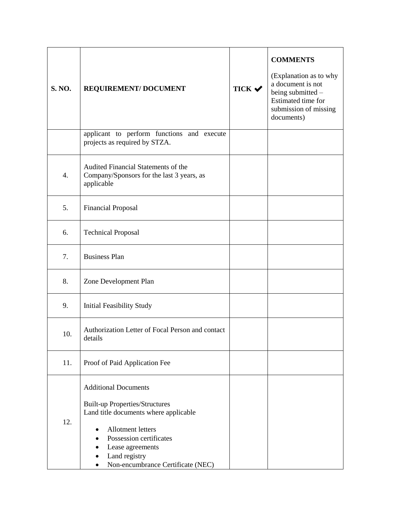| <b>S. NO.</b>    | REQUIREMENT/ DOCUMENT                                                                                                                                                                                                                                | TICK V | <b>COMMENTS</b><br>(Explanation as to why<br>a document is not<br>being submitted $-$<br>Estimated time for<br>submission of missing<br>documents) |
|------------------|------------------------------------------------------------------------------------------------------------------------------------------------------------------------------------------------------------------------------------------------------|--------|----------------------------------------------------------------------------------------------------------------------------------------------------|
|                  | applicant to perform functions and execute<br>projects as required by STZA.                                                                                                                                                                          |        |                                                                                                                                                    |
| $\overline{4}$ . | Audited Financial Statements of the<br>Company/Sponsors for the last 3 years, as<br>applicable                                                                                                                                                       |        |                                                                                                                                                    |
| 5.               | <b>Financial Proposal</b>                                                                                                                                                                                                                            |        |                                                                                                                                                    |
| 6.               | <b>Technical Proposal</b>                                                                                                                                                                                                                            |        |                                                                                                                                                    |
| 7.               | <b>Business Plan</b>                                                                                                                                                                                                                                 |        |                                                                                                                                                    |
| 8.               | Zone Development Plan                                                                                                                                                                                                                                |        |                                                                                                                                                    |
| 9.               | <b>Initial Feasibility Study</b>                                                                                                                                                                                                                     |        |                                                                                                                                                    |
| 10.              | Authorization Letter of Focal Person and contact<br>details                                                                                                                                                                                          |        |                                                                                                                                                    |
| 11.              | Proof of Paid Application Fee                                                                                                                                                                                                                        |        |                                                                                                                                                    |
| 12.              | <b>Additional Documents</b><br><b>Built-up Properties/Structures</b><br>Land title documents where applicable<br>Allotment letters<br>$\bullet$<br>Possession certificates<br>Lease agreements<br>Land registry<br>Non-encumbrance Certificate (NEC) |        |                                                                                                                                                    |